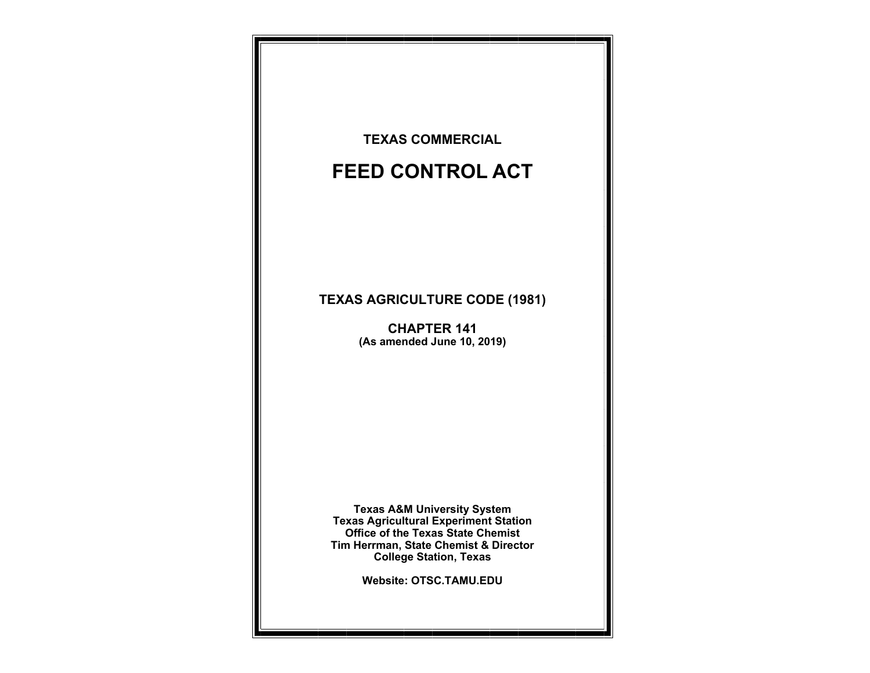**TEXAS COMMERCIAL** 

# **FEED CONTROL ACT**

## **TEXAS AGRICULTURE CODE (1981)**

**CHAPTER 141 (As amended June 10, 2019)** 

**Texas A&M University System Texas Agricultural Experiment Station Office of the Texas State Chemist Tim Herrman, State Chemist & Director College Station, Texas** 

**Website: OTSC.TAMU.EDU**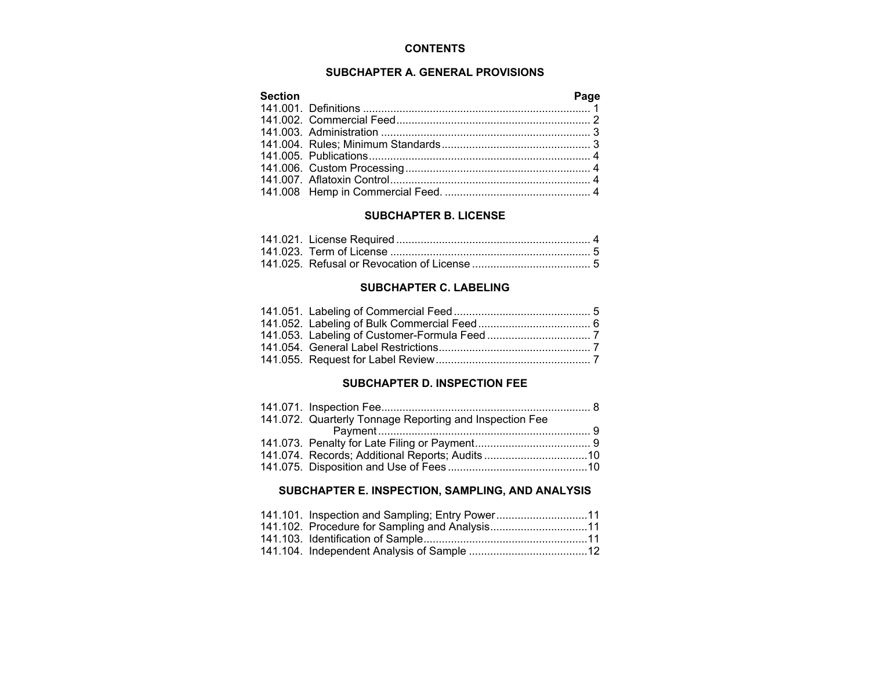### **CONTENTS**

#### **SUBCHAPTER A. GENERAL PROVISIONS**

| <b>Section</b> | Page |
|----------------|------|
|                |      |
|                |      |
|                |      |
|                |      |
|                |      |
|                |      |
|                |      |
|                |      |

#### **SUBCHAPTER B. LICENSE**

#### **SUBCHAPTER C. LABELING**

#### **SUBCHAPTER D. INSPECTION FEE**

| 141.072. Quarterly Tonnage Reporting and Inspection Fee |  |
|---------------------------------------------------------|--|
|                                                         |  |
|                                                         |  |
| 141.074. Records; Additional Reports; Audits 10         |  |
|                                                         |  |

## **SUBCHAPTER E. INSPECTION, SAMPLING, AND ANALYSIS**

| 141.101. Inspection and Sampling; Entry Power11 |  |
|-------------------------------------------------|--|
| 141.102. Procedure for Sampling and Analysis11  |  |
|                                                 |  |
|                                                 |  |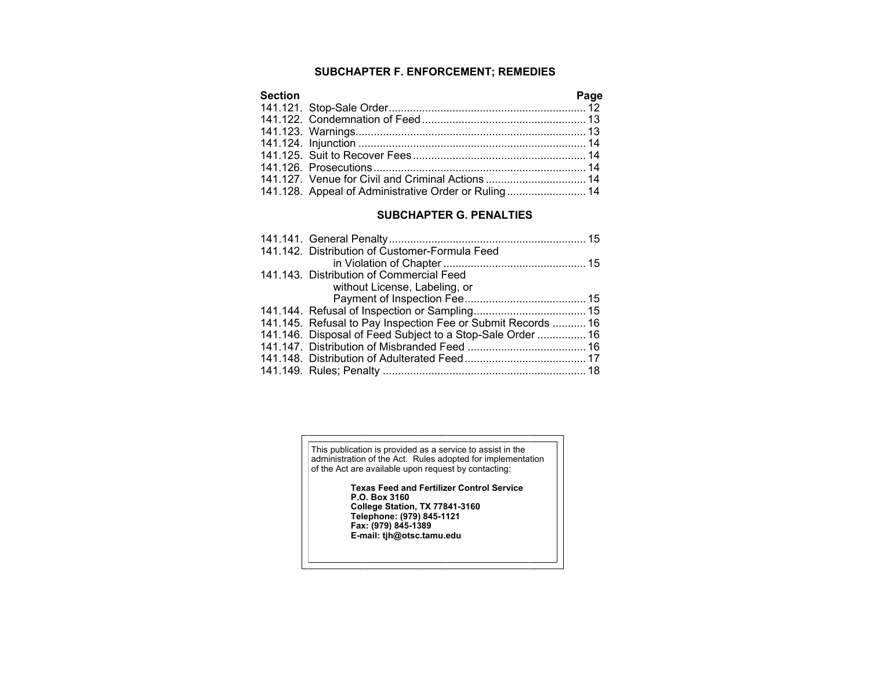## **SUBCHAPTER F. ENFORCEMENT; REMEDIES**

| <b>Section</b> |                                                      | Page |
|----------------|------------------------------------------------------|------|
|                |                                                      |      |
|                |                                                      |      |
|                |                                                      |      |
|                |                                                      |      |
|                |                                                      |      |
|                |                                                      |      |
|                |                                                      |      |
|                | 141.128. Appeal of Administrative Order or Ruling 14 |      |

#### **SUBCHAPTER G. PENALTIES**

|  | 141.142. Distribution of Customer-Formula Feed               |  |
|--|--------------------------------------------------------------|--|
|  |                                                              |  |
|  | 141.143. Distribution of Commercial Feed                     |  |
|  | without License, Labeling, or                                |  |
|  |                                                              |  |
|  |                                                              |  |
|  | 141.145. Refusal to Pay Inspection Fee or Submit Records  16 |  |
|  | 141.146. Disposal of Feed Subject to a Stop-Sale Order  16   |  |
|  |                                                              |  |
|  |                                                              |  |
|  |                                                              |  |
|  |                                                              |  |

This publication is provided as a service to assist in the administration of the Act. Rules adopted for implementation of the Act are available upon request by contacting:

**Texas Feed and Fertilizer Control Service P.O. Box 3160 College Station, TX 77841-3160 Telephone: (979) 845-1121 Fax: (979) 845-1389 E-mail: tjh@otsc.tamu.edu**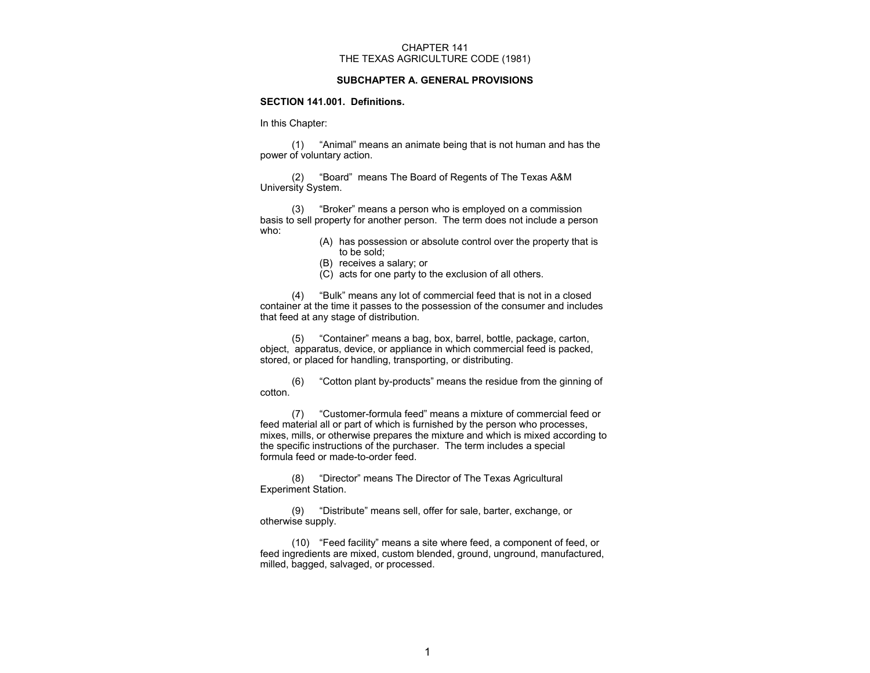#### CHAPTER 141 THE TEXAS AGRICULTURE CODE (1981)

#### **SUBCHAPTER A. GENERAL PROVISIONS**

#### **SECTION 141.001. Definitions.**

#### In this Chapter:

 (1) "Animal" means an animate being that is not human and has the power of voluntary action.

 (2) "Board" means The Board of Regents of The Texas A&M University System.

 (3) "Broker" means a person who is employed on a commission basis to sell property for another person. The term does not include a person who:

- (A) has possession or absolute control over the property that is to be sold;
- (B) receives a salary; or
- (C) acts for one party to the exclusion of all others.

 (4) "Bulk" means any lot of commercial feed that is not in a closed container at the time it passes to the possession of the consumer and includes that feed at any stage of distribution.

 (5) "Container" means a bag, box, barrel, bottle, package, carton, object, apparatus, device, or appliance in which commercial feed is packed, stored, or placed for handling, transporting, or distributing.

 (6) "Cotton plant by-products" means the residue from the ginning of cotton.

 (7) "Customer-formula feed" means a mixture of commercial feed or feed material all or part of which is furnished by the person who processes, mixes, mills, or otherwise prepares the mixture and which is mixed according to the specific instructions of the purchaser. The term includes a special formula feed or made-to-order feed.

 (8) "Director" means The Director of The Texas Agricultural Experiment Station.

 (9) "Distribute" means sell, offer for sale, barter, exchange, or otherwise supply.

 (10) "Feed facility" means a site where feed, a component of feed, or feed ingredients are mixed, custom blended, ground, unground, manufactured, milled, bagged, salvaged, or processed.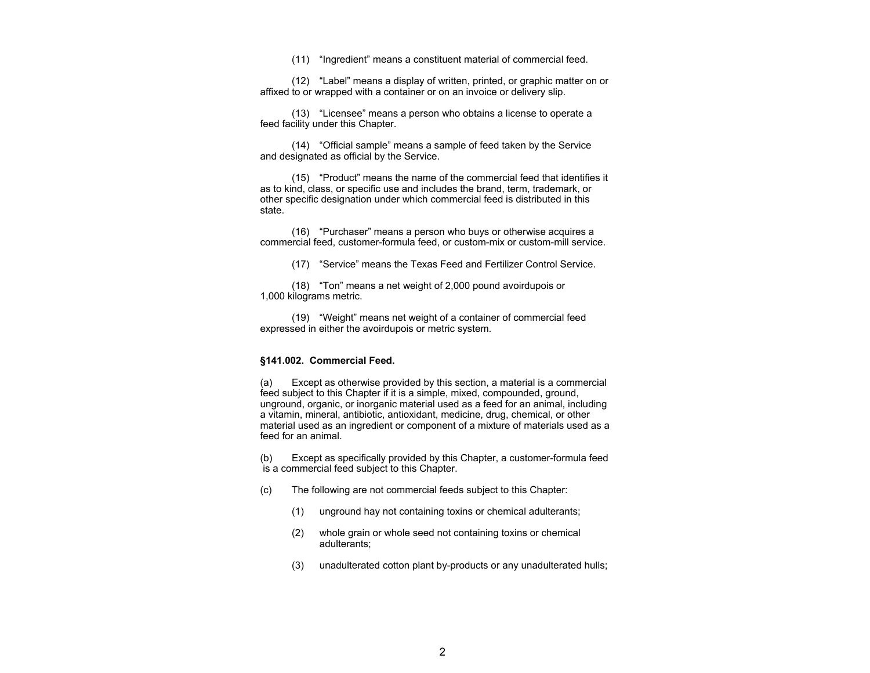(11) "Ingredient" means a constituent material of commercial feed.

 (12) "Label" means a display of written, printed, or graphic matter on or affixed to or wrapped with a container or on an invoice or delivery slip.

 (13) "Licensee" means a person who obtains a license to operate a feed facility under this Chapter.

 (14) "Official sample" means a sample of feed taken by the Service and designated as official by the Service.

 (15) "Product" means the name of the commercial feed that identifies it as to kind, class, or specific use and includes the brand, term, trademark, or other specific designation under which commercial feed is distributed in this state.

 (16) "Purchaser" means a person who buys or otherwise acquires a commercial feed, customer-formula feed, or custom-mix or custom-mill service.

(17) "Service" means the Texas Feed and Fertilizer Control Service.

 (18) "Ton" means a net weight of 2,000 pound avoirdupois or 1,000 kilograms metric.

 (19) "Weight" means net weight of a container of commercial feed expressed in either the avoirdupois or metric system.

#### **§141.002. Commercial Feed.**

(a) Except as otherwise provided by this section, a material is a commercial feed subject to this Chapter if it is a simple, mixed, compounded, ground, unground, organic, or inorganic material used as a feed for an animal, including a vitamin, mineral, antibiotic, antioxidant, medicine, drug, chemical, or other material used as an ingredient or component of a mixture of materials used as a feed for an animal.

(b) Except as specifically provided by this Chapter, a customer-formula feed is a commercial feed subject to this Chapter.

- (c) The following are not commercial feeds subject to this Chapter:
	- (1) unground hay not containing toxins or chemical adulterants;
	- (2) whole grain or whole seed not containing toxins or chemical adulterants;
	- (3) unadulterated cotton plant by-products or any unadulterated hulls;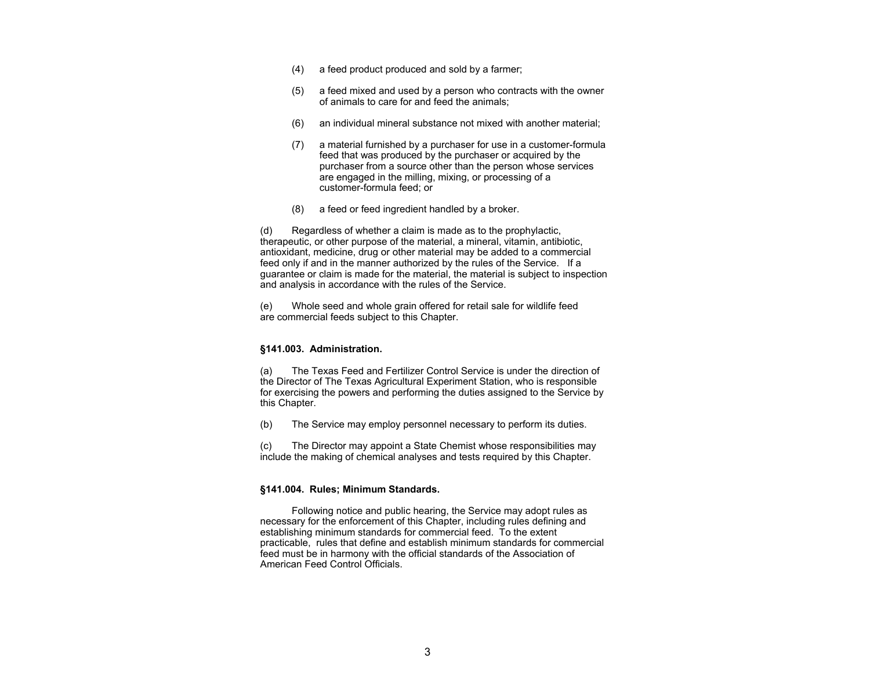- (4) a feed product produced and sold by a farmer;
- (5) a feed mixed and used by a person who contracts with the owner of animals to care for and feed the animals;
- (6) an individual mineral substance not mixed with another material;
- (7) a material furnished by a purchaser for use in a customer-formula feed that was produced by the purchaser or acquired by the purchaser from a source other than the person whose services are engaged in the milling, mixing, or processing of a customer-formula feed; or
- (8) a feed or feed ingredient handled by a broker.

(d) Regardless of whether a claim is made as to the prophylactic, therapeutic, or other purpose of the material, a mineral, vitamin, antibiotic, antioxidant, medicine, drug or other material may be added to a commercial feed only if and in the manner authorized by the rules of the Service. If a guarantee or claim is made for the material, the material is subject to inspection and analysis in accordance with the rules of the Service.

(e) Whole seed and whole grain offered for retail sale for wildlife feed are commercial feeds subject to this Chapter.

#### **§141.003. Administration.**

(a) The Texas Feed and Fertilizer Control Service is under the direction of the Director of The Texas Agricultural Experiment Station, who is responsible for exercising the powers and performing the duties assigned to the Service by this Chapter.

(b) The Service may employ personnel necessary to perform its duties.

(c) The Director may appoint a State Chemist whose responsibilities may include the making of chemical analyses and tests required by this Chapter.

#### **§141.004. Rules; Minimum Standards.**

 Following notice and public hearing, the Service may adopt rules as necessary for the enforcement of this Chapter, including rules defining and establishing minimum standards for commercial feed. To the extent practicable, rules that define and establish minimum standards for commercial feed must be in harmony with the official standards of the Association of American Feed Control Officials.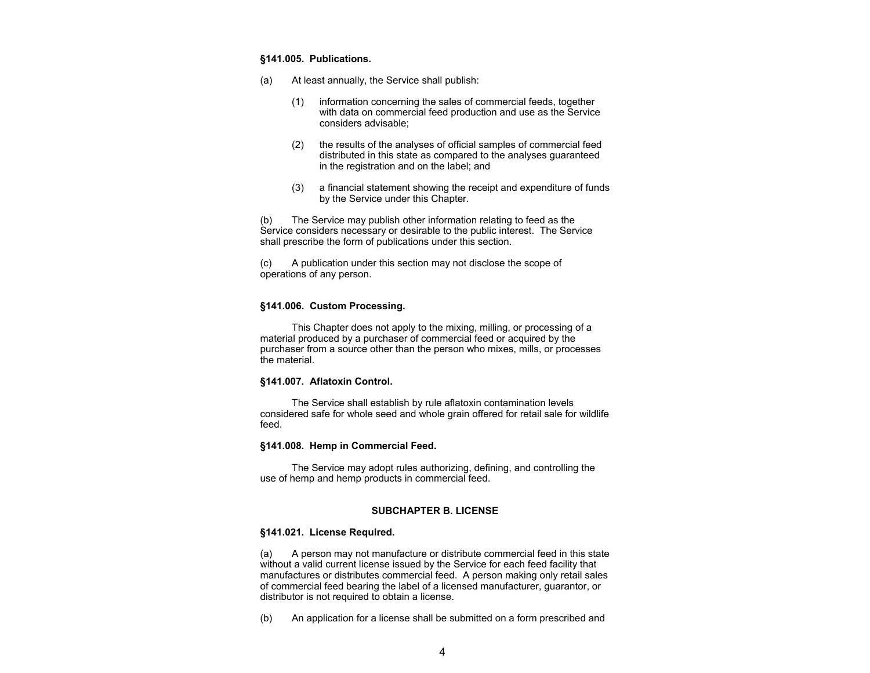#### **§141.005. Publications.**

- (a) At least annually, the Service shall publish:
	- (1) information concerning the sales of commercial feeds, together with data on commercial feed production and use as the Service considers advisable;
	- (2) the results of the analyses of official samples of commercial feed distributed in this state as compared to the analyses guaranteed in the registration and on the label; and
	- (3) a financial statement showing the receipt and expenditure of funds by the Service under this Chapter.

(b) The Service may publish other information relating to feed as the Service considers necessary or desirable to the public interest. The Service shall prescribe the form of publications under this section.

(c) A publication under this section may not disclose the scope of operations of any person.

#### **§141.006. Custom Processing.**

This Chapter does not apply to the mixing, milling, or processing of a material produced by a purchaser of commercial feed or acquired by the purchaser from a source other than the person who mixes, mills, or processes the material.

#### **§141.007. Aflatoxin Control.**

 The Service shall establish by rule aflatoxin contamination levels considered safe for whole seed and whole grain offered for retail sale for wildlife feed.

#### **§141.008. Hemp in Commercial Feed.**

 The Service may adopt rules authorizing, defining, and controlling the use of hemp and hemp products in commercial feed.

#### **SUBCHAPTER B. LICENSE**

#### **§141.021. License Required.**

(a) A person may not manufacture or distribute commercial feed in this state without a valid current license issued by the Service for each feed facility that manufactures or distributes commercial feed. A person making only retail sales of commercial feed bearing the label of a licensed manufacturer, guarantor, or distributor is not required to obtain a license.

(b) An application for a license shall be submitted on a form prescribed and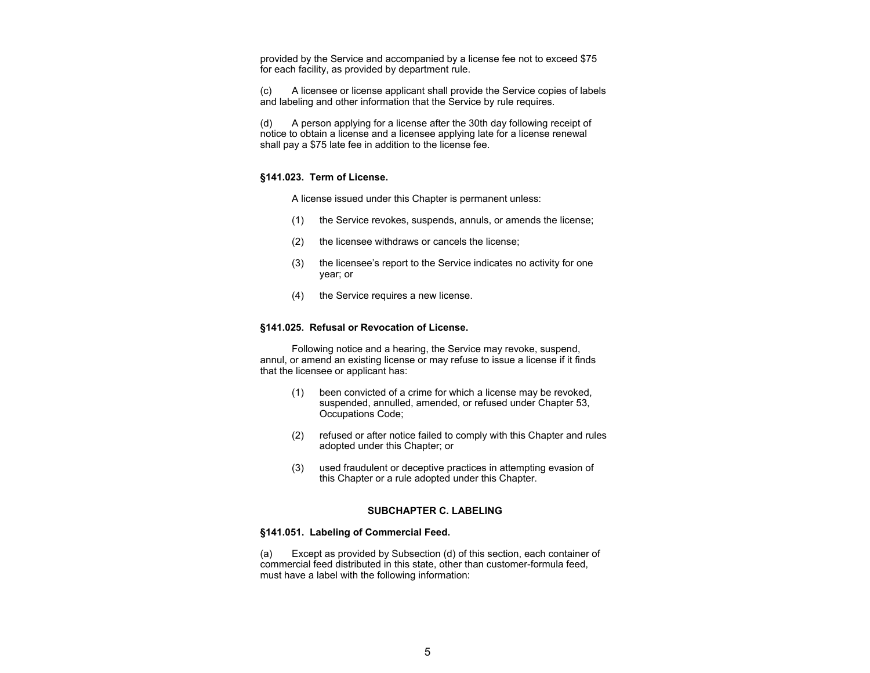provided by the Service and accompanied by a license fee not to exceed \$75 for each facility, as provided by department rule.

(c) A licensee or license applicant shall provide the Service copies of labels and labeling and other information that the Service by rule requires.

(d) A person applying for a license after the 30th day following receipt of notice to obtain a license and a licensee applying late for a license renewal shall pay a \$75 late fee in addition to the license fee.

#### **§141.023. Term of License.**

A license issued under this Chapter is permanent unless:

- (1) the Service revokes, suspends, annuls, or amends the license;
- (2) the licensee withdraws or cancels the license;
- (3) the licensee's report to the Service indicates no activity for one year; or
- (4) the Service requires a new license.

#### **§141.025. Refusal or Revocation of License.**

 Following notice and a hearing, the Service may revoke, suspend, annul, or amend an existing license or may refuse to issue a license if it finds that the licensee or applicant has:

- (1) been convicted of a crime for which a license may be revoked, suspended, annulled, amended, or refused under Chapter 53, Occupations Code;
- (2) refused or after notice failed to comply with this Chapter and rules adopted under this Chapter; or
- (3) used fraudulent or deceptive practices in attempting evasion of this Chapter or a rule adopted under this Chapter.

#### **SUBCHAPTER C. LABELING**

#### **§141.051. Labeling of Commercial Feed.**

(a) Except as provided by Subsection (d) of this section, each container of commercial feed distributed in this state, other than customer-formula feed, must have a label with the following information: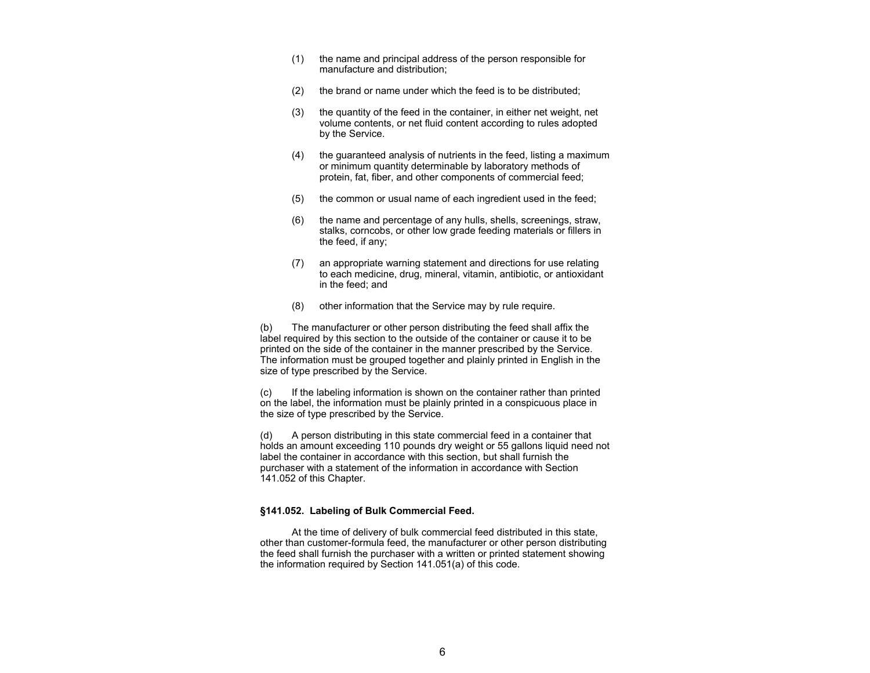- (1) the name and principal address of the person responsible for manufacture and distribution;
- (2) the brand or name under which the feed is to be distributed;
- (3) the quantity of the feed in the container, in either net weight, net volume contents, or net fluid content according to rules adopted by the Service.
- (4) the guaranteed analysis of nutrients in the feed, listing a maximum or minimum quantity determinable by laboratory methods of protein, fat, fiber, and other components of commercial feed;
- (5) the common or usual name of each ingredient used in the feed;
- (6) the name and percentage of any hulls, shells, screenings, straw, stalks, corncobs, or other low grade feeding materials or fillers in the feed, if any;
- (7) an appropriate warning statement and directions for use relating to each medicine, drug, mineral, vitamin, antibiotic, or antioxidant in the feed; and
- (8) other information that the Service may by rule require.

(b) The manufacturer or other person distributing the feed shall affix the label required by this section to the outside of the container or cause it to be printed on the side of the container in the manner prescribed by the Service. The information must be grouped together and plainly printed in English in the size of type prescribed by the Service.

(c) If the labeling information is shown on the container rather than printed on the label, the information must be plainly printed in a conspicuous place in the size of type prescribed by the Service.

(d) A person distributing in this state commercial feed in a container that holds an amount exceeding 110 pounds dry weight or 55 gallons liquid need not label the container in accordance with this section, but shall furnish the purchaser with a statement of the information in accordance with Section 141.052 of this Chapter.

#### **§141.052. Labeling of Bulk Commercial Feed.**

At the time of delivery of bulk commercial feed distributed in this state, other than customer-formula feed, the manufacturer or other person distributing the feed shall furnish the purchaser with a written or printed statement showing the information required by Section 141.051(a) of this code.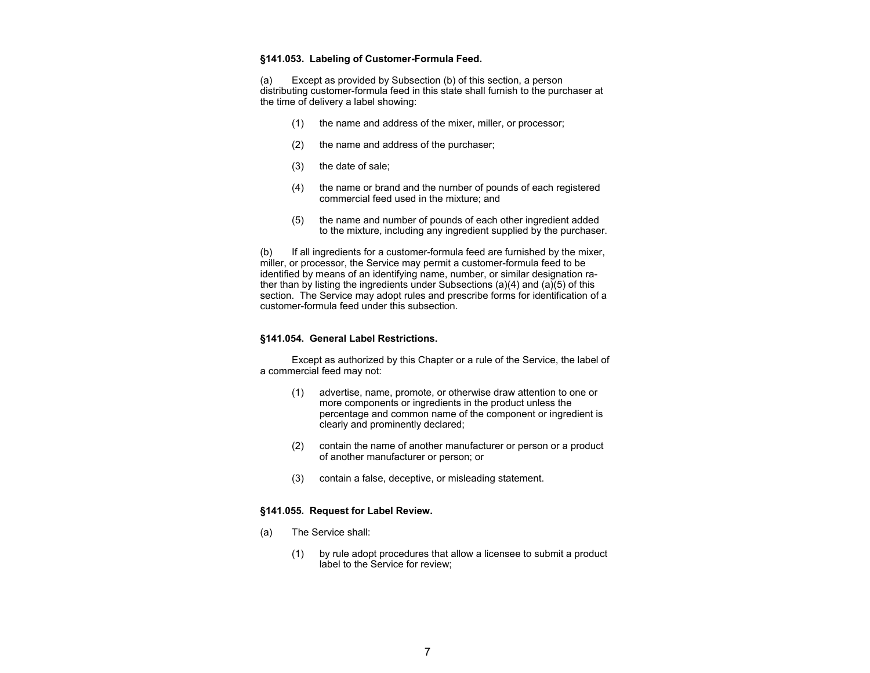#### **§141.053. Labeling of Customer-Formula Feed.**

(a) Except as provided by Subsection (b) of this section, a person distributing customer-formula feed in this state shall furnish to the purchaser at the time of delivery a label showing:

- (1) the name and address of the mixer, miller, or processor;
- (2) the name and address of the purchaser;
- (3) the date of sale;
- (4) the name or brand and the number of pounds of each registered commercial feed used in the mixture; and
- (5) the name and number of pounds of each other ingredient added to the mixture, including any ingredient supplied by the purchaser.

(b) If all ingredients for a customer-formula feed are furnished by the mixer, miller, or processor, the Service may permit a customer-formula feed to be identified by means of an identifying name, number, or similar designation rather than by listing the ingredients under Subsections (a)(4) and (a)(5) of this section. The Service may adopt rules and prescribe forms for identification of a customer-formula feed under this subsection.

#### **§141.054. General Label Restrictions.**

 Except as authorized by this Chapter or a rule of the Service, the label of a commercial feed may not:

- (1) advertise, name, promote, or otherwise draw attention to one or more components or ingredients in the product unless the percentage and common name of the component or ingredient is clearly and prominently declared;
- (2) contain the name of another manufacturer or person or a product of another manufacturer or person; or
- (3) contain a false, deceptive, or misleading statement.

#### **§141.055. Request for Label Review.**

- (a) The Service shall:
	- (1) by rule adopt procedures that allow a licensee to submit a product label to the Service for review;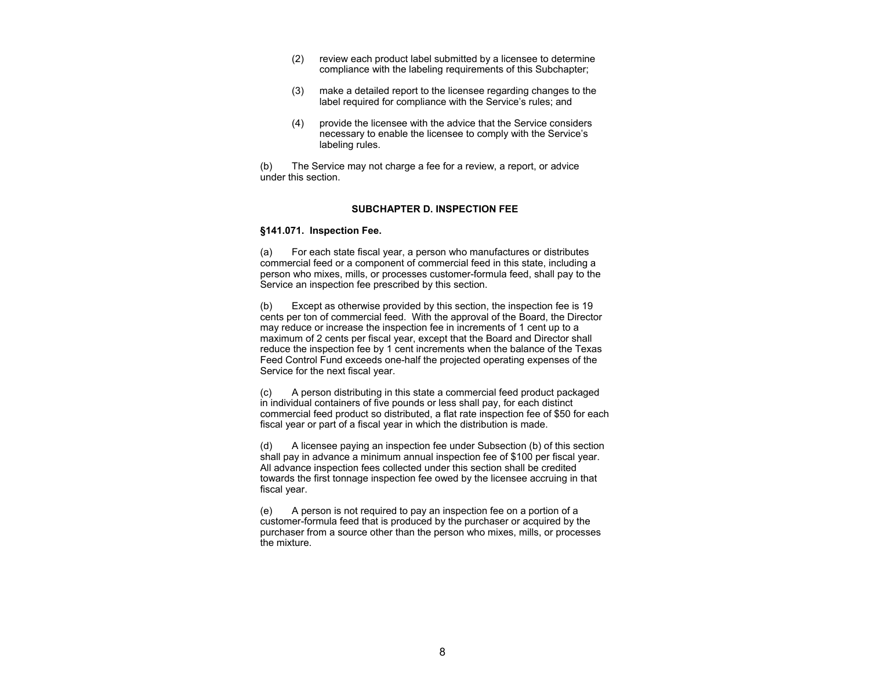- (2) review each product label submitted by a licensee to determine compliance with the labeling requirements of this Subchapter;
- (3) make a detailed report to the licensee regarding changes to the label required for compliance with the Service's rules; and
- (4) provide the licensee with the advice that the Service considers necessary to enable the licensee to comply with the Service's labeling rules.

(b) The Service may not charge a fee for a review, a report, or advice under this section.

#### **SUBCHAPTER D. INSPECTION FEE**

#### **§141.071. Inspection Fee.**

(a) For each state fiscal year, a person who manufactures or distributes commercial feed or a component of commercial feed in this state, including a person who mixes, mills, or processes customer-formula feed, shall pay to the Service an inspection fee prescribed by this section.

(b) Except as otherwise provided by this section, the inspection fee is 19 cents per ton of commercial feed. With the approval of the Board, the Director may reduce or increase the inspection fee in increments of 1 cent up to a maximum of 2 cents per fiscal year, except that the Board and Director shall reduce the inspection fee by 1 cent increments when the balance of the Texas Feed Control Fund exceeds one-half the projected operating expenses of the Service for the next fiscal year.

(c) A person distributing in this state a commercial feed product packaged in individual containers of five pounds or less shall pay, for each distinct commercial feed product so distributed, a flat rate inspection fee of \$50 for each fiscal year or part of a fiscal year in which the distribution is made.

(d) A licensee paying an inspection fee under Subsection (b) of this section shall pay in advance a minimum annual inspection fee of \$100 per fiscal year. All advance inspection fees collected under this section shall be credited towards the first tonnage inspection fee owed by the licensee accruing in that fiscal year.

(e) A person is not required to pay an inspection fee on a portion of a customer-formula feed that is produced by the purchaser or acquired by the purchaser from a source other than the person who mixes, mills, or processes the mixture.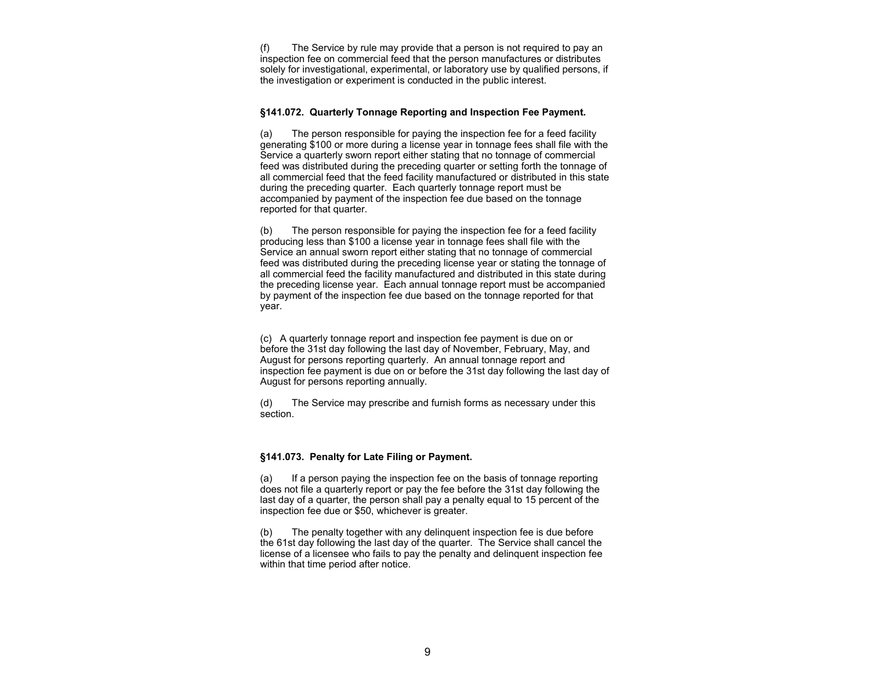(f) The Service by rule may provide that a person is not required to pay an inspection fee on commercial feed that the person manufactures or distributes solely for investigational, experimental, or laboratory use by qualified persons, if the investigation or experiment is conducted in the public interest.

#### **§141.072. Quarterly Tonnage Reporting and Inspection Fee Payment.**

(a) The person responsible for paying the inspection fee for a feed facility generating \$100 or more during a license year in tonnage fees shall file with the Service a quarterly sworn report either stating that no tonnage of commercial feed was distributed during the preceding quarter or setting forth the tonnage of all commercial feed that the feed facility manufactured or distributed in this state during the preceding quarter. Each quarterly tonnage report must be accompanied by payment of the inspection fee due based on the tonnage reported for that quarter.

(b) The person responsible for paying the inspection fee for a feed facility producing less than \$100 a license year in tonnage fees shall file with the Service an annual sworn report either stating that no tonnage of commercial feed was distributed during the preceding license year or stating the tonnage of all commercial feed the facility manufactured and distributed in this state during the preceding license year. Each annual tonnage report must be accompanied by payment of the inspection fee due based on the tonnage reported for that year.

(c) A quarterly tonnage report and inspection fee payment is due on or before the 31st day following the last day of November, February, May, and August for persons reporting quarterly. An annual tonnage report and inspection fee payment is due on or before the 31st day following the last day of August for persons reporting annually.

(d) The Service may prescribe and furnish forms as necessary under this section.

#### **§141.073. Penalty for Late Filing or Payment.**

(a) If a person paying the inspection fee on the basis of tonnage reporting does not file a quarterly report or pay the fee before the 31st day following the last day of a quarter, the person shall pay a penalty equal to 15 percent of the inspection fee due or \$50, whichever is greater.

(b) The penalty together with any delinquent inspection fee is due before the 61st day following the last day of the quarter. The Service shall cancel the license of a licensee who fails to pay the penalty and delinquent inspection fee within that time period after notice.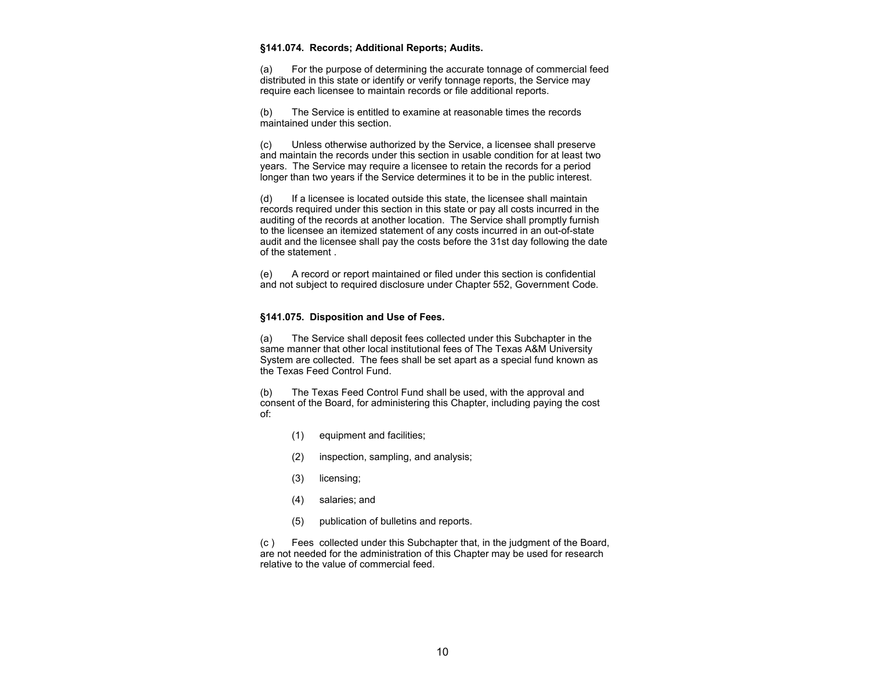#### **§141.074. Records; Additional Reports; Audits.**

(a) For the purpose of determining the accurate tonnage of commercial feed distributed in this state or identify or verify tonnage reports, the Service may require each licensee to maintain records or file additional reports.

(b) The Service is entitled to examine at reasonable times the records maintained under this section.

(c) Unless otherwise authorized by the Service, a licensee shall preserve and maintain the records under this section in usable condition for at least two years. The Service may require a licensee to retain the records for a period longer than two years if the Service determines it to be in the public interest.

(d) If a licensee is located outside this state, the licensee shall maintain records required under this section in this state or pay all costs incurred in the auditing of the records at another location. The Service shall promptly furnish to the licensee an itemized statement of any costs incurred in an out-of-state audit and the licensee shall pay the costs before the 31st day following the date of the statement .

(e) A record or report maintained or filed under this section is confidential and not subject to required disclosure under Chapter 552, Government Code.

#### **§141.075. Disposition and Use of Fees.**

(a) The Service shall deposit fees collected under this Subchapter in the same manner that other local institutional fees of The Texas A&M University System are collected. The fees shall be set apart as a special fund known as the Texas Feed Control Fund.

(b) The Texas Feed Control Fund shall be used, with the approval and consent of the Board, for administering this Chapter, including paying the cost of:

- (1) equipment and facilities;
- (2) inspection, sampling, and analysis;
- (3) licensing;
- (4) salaries; and
- (5) publication of bulletins and reports.

(c ) Fees collected under this Subchapter that, in the judgment of the Board, are not needed for the administration of this Chapter may be used for research relative to the value of commercial feed.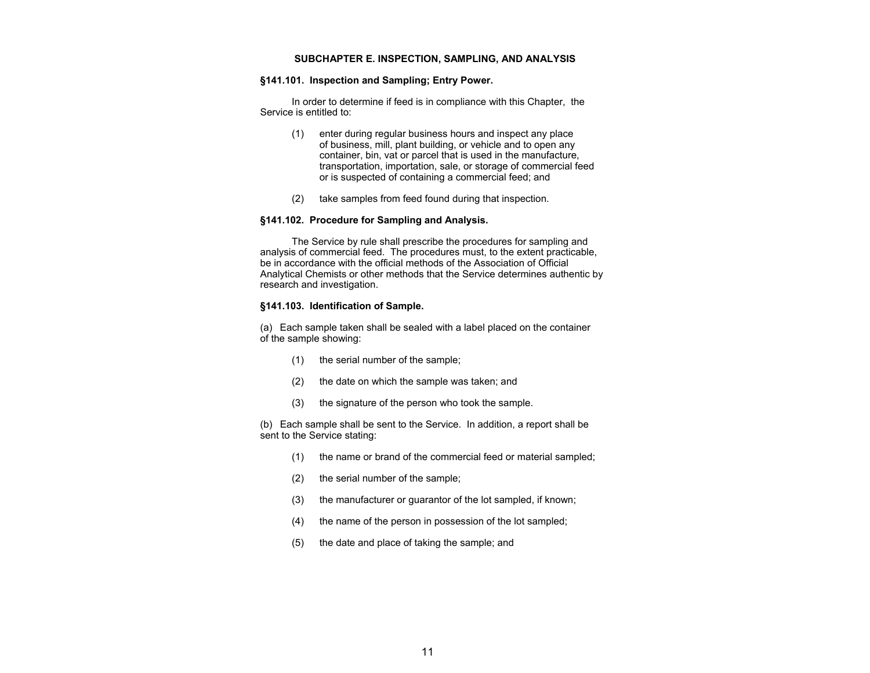#### **SUBCHAPTER E. INSPECTION, SAMPLING, AND ANALYSIS**

#### **§141.101. Inspection and Sampling; Entry Power.**

In order to determine if feed is in compliance with this Chapter, the Service is entitled to:

- (1) enter during regular business hours and inspect any place of business, mill, plant building, or vehicle and to open any container, bin, vat or parcel that is used in the manufacture, transportation, importation, sale, or storage of commercial feed or is suspected of containing a commercial feed; and
- (2) take samples from feed found during that inspection.

#### **§141.102. Procedure for Sampling and Analysis.**

The Service by rule shall prescribe the procedures for sampling and analysis of commercial feed. The procedures must, to the extent practicable, be in accordance with the official methods of the Association of Official Analytical Chemists or other methods that the Service determines authentic by research and investigation.

#### **§141.103. Identification of Sample.**

(a) Each sample taken shall be sealed with a label placed on the container of the sample showing:

- (1) the serial number of the sample;
- (2) the date on which the sample was taken; and
- (3) the signature of the person who took the sample.

(b) Each sample shall be sent to the Service. In addition, a report shall be sent to the Service stating:

- (1) the name or brand of the commercial feed or material sampled;
- (2) the serial number of the sample;
- (3) the manufacturer or guarantor of the lot sampled, if known;
- (4) the name of the person in possession of the lot sampled;
- (5) the date and place of taking the sample; and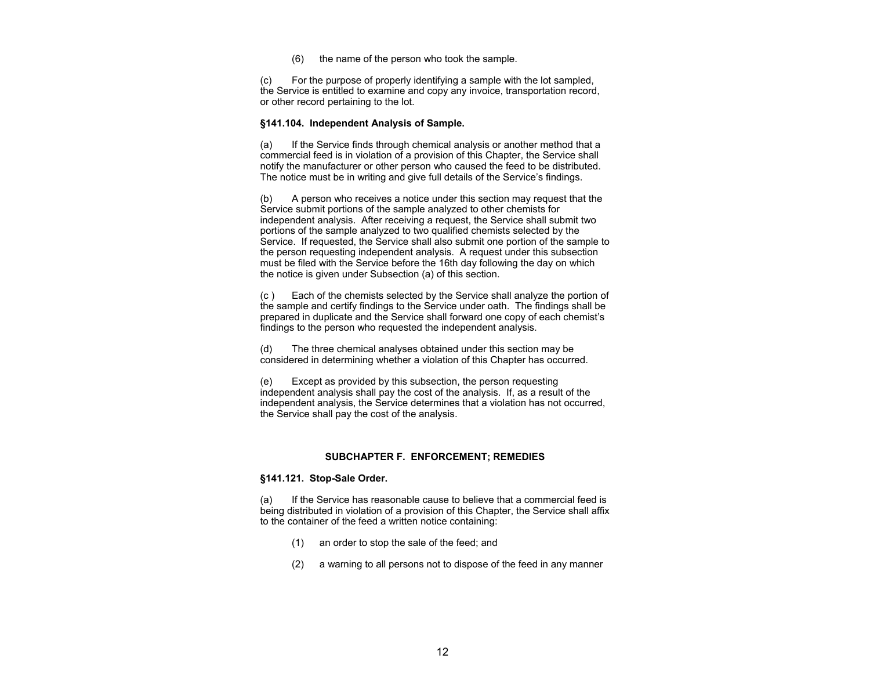(6) the name of the person who took the sample.

(c) For the purpose of properly identifying a sample with the lot sampled, the Service is entitled to examine and copy any invoice, transportation record, or other record pertaining to the lot.

#### **§141.104. Independent Analysis of Sample.**

(a) If the Service finds through chemical analysis or another method that a commercial feed is in violation of a provision of this Chapter, the Service shall notify the manufacturer or other person who caused the feed to be distributed. The notice must be in writing and give full details of the Service's findings.

(b) A person who receives a notice under this section may request that the Service submit portions of the sample analyzed to other chemists for independent analysis. After receiving a request, the Service shall submit two portions of the sample analyzed to two qualified chemists selected by the Service. If requested, the Service shall also submit one portion of the sample to the person requesting independent analysis. A request under this subsection must be filed with the Service before the 16th day following the day on which the notice is given under Subsection (a) of this section.

(c ) Each of the chemists selected by the Service shall analyze the portion of the sample and certify findings to the Service under oath. The findings shall be prepared in duplicate and the Service shall forward one copy of each chemist's findings to the person who requested the independent analysis.

(d) The three chemical analyses obtained under this section may be considered in determining whether a violation of this Chapter has occurred.

(e) Except as provided by this subsection, the person requesting independent analysis shall pay the cost of the analysis. If, as a result of the independent analysis, the Service determines that a violation has not occurred, the Service shall pay the cost of the analysis.

#### **SUBCHAPTER F. ENFORCEMENT; REMEDIES**

#### **§141.121. Stop-Sale Order.**

(a) If the Service has reasonable cause to believe that a commercial feed is being distributed in violation of a provision of this Chapter, the Service shall affix to the container of the feed a written notice containing:

- (1) an order to stop the sale of the feed; and
- (2) a warning to all persons not to dispose of the feed in any manner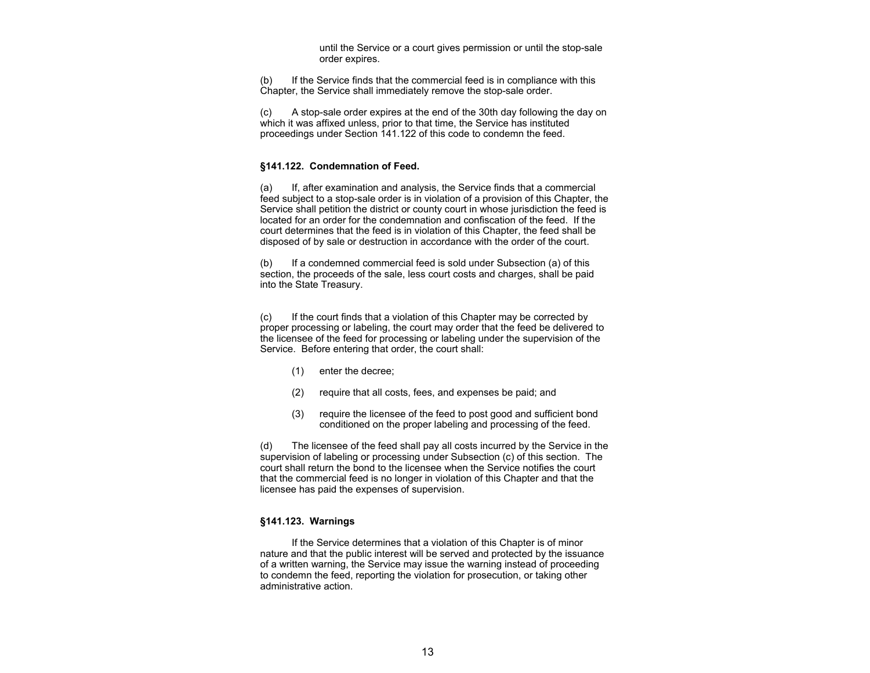until the Service or a court gives permission or until the stop-sale order expires.

(b) If the Service finds that the commercial feed is in compliance with this Chapter, the Service shall immediately remove the stop-sale order.

(c) A stop-sale order expires at the end of the 30th day following the day on which it was affixed unless, prior to that time, the Service has instituted proceedings under Section 141.122 of this code to condemn the feed.

#### **§141.122. Condemnation of Feed.**

(a) If, after examination and analysis, the Service finds that a commercial feed subject to a stop-sale order is in violation of a provision of this Chapter, the Service shall petition the district or county court in whose jurisdiction the feed is located for an order for the condemnation and confiscation of the feed. If the court determines that the feed is in violation of this Chapter, the feed shall be disposed of by sale or destruction in accordance with the order of the court.

(b) If a condemned commercial feed is sold under Subsection (a) of this section, the proceeds of the sale, less court costs and charges, shall be paid into the State Treasury.

(c) If the court finds that a violation of this Chapter may be corrected by proper processing or labeling, the court may order that the feed be delivered to the licensee of the feed for processing or labeling under the supervision of the Service. Before entering that order, the court shall:

- (1) enter the decree;
- (2) require that all costs, fees, and expenses be paid; and
- (3) require the licensee of the feed to post good and sufficient bond conditioned on the proper labeling and processing of the feed.

(d) The licensee of the feed shall pay all costs incurred by the Service in the supervision of labeling or processing under Subsection (c) of this section. The court shall return the bond to the licensee when the Service notifies the court that the commercial feed is no longer in violation of this Chapter and that the licensee has paid the expenses of supervision.

#### **§141.123. Warnings**

 If the Service determines that a violation of this Chapter is of minor nature and that the public interest will be served and protected by the issuance of a written warning, the Service may issue the warning instead of proceeding to condemn the feed, reporting the violation for prosecution, or taking other administrative action.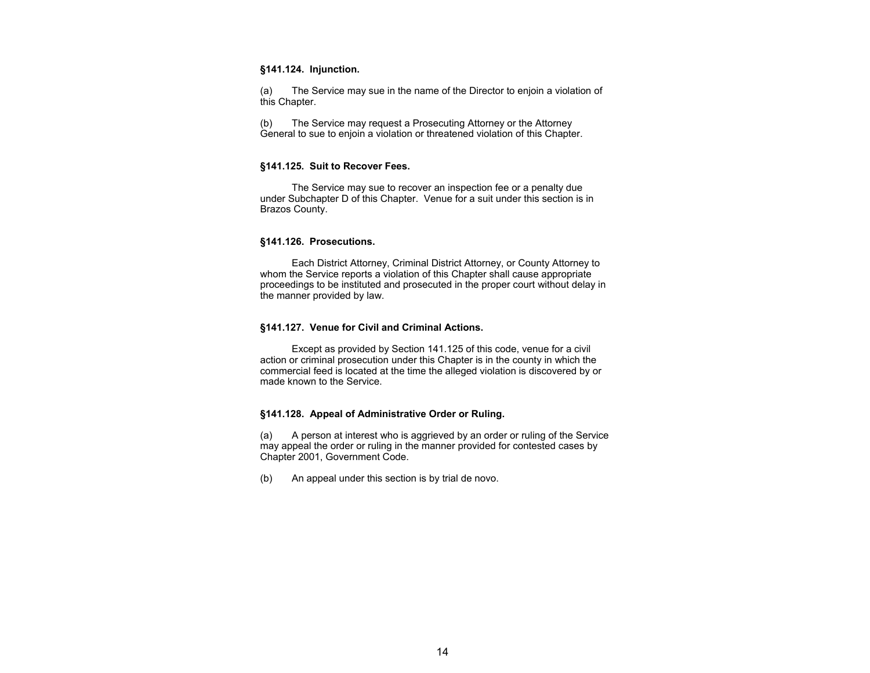#### **§141.124. Injunction.**

(a) The Service may sue in the name of the Director to enjoin a violation of this Chapter.

(b) The Service may request a Prosecuting Attorney or the Attorney General to sue to enjoin a violation or threatened violation of this Chapter.

#### **§141.125. Suit to Recover Fees.**

The Service may sue to recover an inspection fee or a penalty due under Subchapter D of this Chapter. Venue for a suit under this section is in Brazos County.

#### **§141.126. Prosecutions.**

 Each District Attorney, Criminal District Attorney, or County Attorney to whom the Service reports a violation of this Chapter shall cause appropriate proceedings to be instituted and prosecuted in the proper court without delay in the manner provided by law.

#### **§141.127. Venue for Civil and Criminal Actions.**

 Except as provided by Section 141.125 of this code, venue for a civil action or criminal prosecution under this Chapter is in the county in which the commercial feed is located at the time the alleged violation is discovered by or made known to the Service.

#### **§141.128. Appeal of Administrative Order or Ruling.**

(a) A person at interest who is aggrieved by an order or ruling of the Service may appeal the order or ruling in the manner provided for contested cases by Chapter 2001, Government Code.

(b) An appeal under this section is by trial de novo.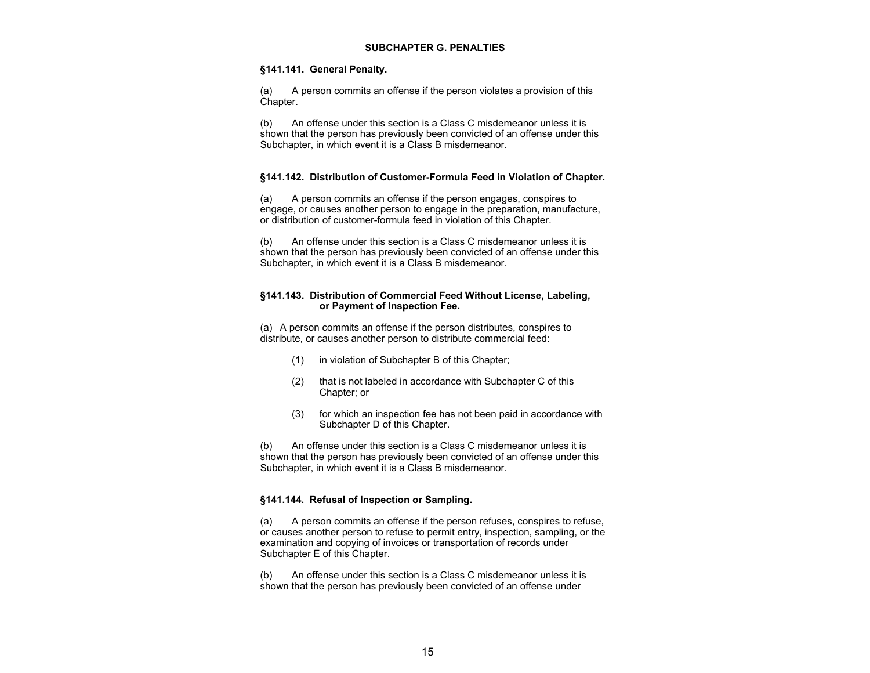#### **SUBCHAPTER G. PENALTIES**

#### **§141.141. General Penalty.**

(a) A person commits an offense if the person violates a provision of this Chapter.

(b) An offense under this section is a Class C misdemeanor unless it is shown that the person has previously been convicted of an offense under this Subchapter, in which event it is a Class B misdemeanor.

#### **§141.142. Distribution of Customer-Formula Feed in Violation of Chapter.**

(a) A person commits an offense if the person engages, conspires to engage, or causes another person to engage in the preparation, manufacture, or distribution of customer-formula feed in violation of this Chapter.

(b) An offense under this section is a Class C misdemeanor unless it is shown that the person has previously been convicted of an offense under this Subchapter, in which event it is a Class B misdemeanor.

#### **§141.143. Distribution of Commercial Feed Without License, Labeling, or Payment of Inspection Fee.**

(a) A person commits an offense if the person distributes, conspires to distribute, or causes another person to distribute commercial feed:

- (1) in violation of Subchapter B of this Chapter;
- (2) that is not labeled in accordance with Subchapter C of this Chapter; or
- (3) for which an inspection fee has not been paid in accordance with Subchapter D of this Chapter.

(b) An offense under this section is a Class C misdemeanor unless it is shown that the person has previously been convicted of an offense under this Subchapter, in which event it is a Class B misdemeanor.

#### **§141.144. Refusal of Inspection or Sampling.**

(a) A person commits an offense if the person refuses, conspires to refuse, or causes another person to refuse to permit entry, inspection, sampling, or the examination and copying of invoices or transportation of records under Subchapter E of this Chapter.

(b) An offense under this section is a Class C misdemeanor unless it is shown that the person has previously been convicted of an offense under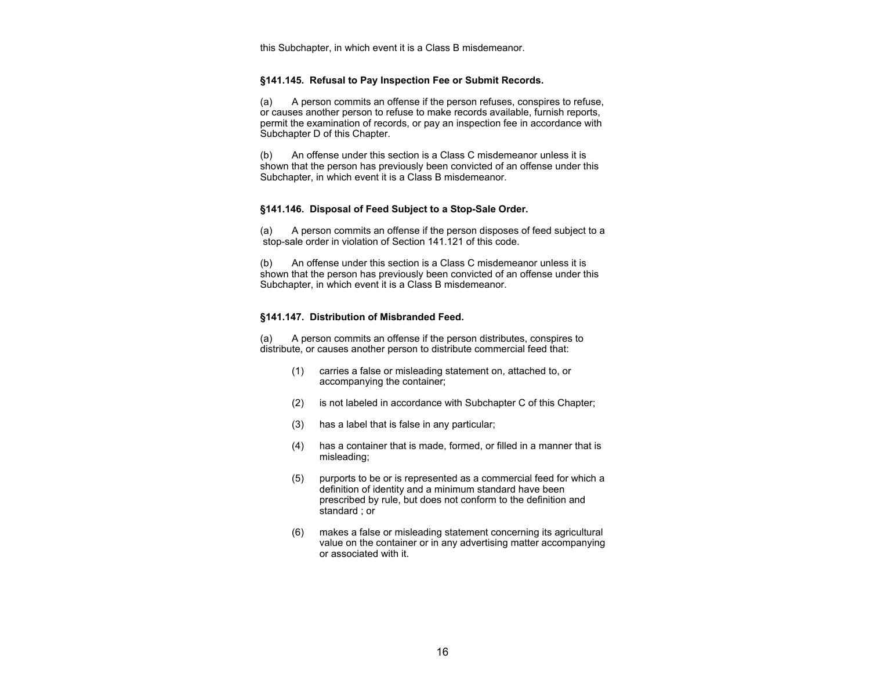this Subchapter, in which event it is a Class B misdemeanor.

#### **§141.145. Refusal to Pay Inspection Fee or Submit Records.**

(a) A person commits an offense if the person refuses, conspires to refuse, or causes another person to refuse to make records available, furnish reports, permit the examination of records, or pay an inspection fee in accordance with Subchapter D of this Chapter.

(b) An offense under this section is a Class C misdemeanor unless it is shown that the person has previously been convicted of an offense under this Subchapter, in which event it is a Class B misdemeanor.

#### **§141.146. Disposal of Feed Subject to a Stop-Sale Order.**

(a) A person commits an offense if the person disposes of feed subject to a stop-sale order in violation of Section 141.121 of this code.

(b) An offense under this section is a Class C misdemeanor unless it is shown that the person has previously been convicted of an offense under this Subchapter, in which event it is a Class B misdemeanor.

#### **§141.147. Distribution of Misbranded Feed.**

(a) A person commits an offense if the person distributes, conspires to distribute, or causes another person to distribute commercial feed that:

- (1) carries a false or misleading statement on, attached to, or accompanying the container;
- (2) is not labeled in accordance with Subchapter C of this Chapter;
- (3) has a label that is false in any particular;
- (4) has a container that is made, formed, or filled in a manner that is misleading;
- (5) purports to be or is represented as a commercial feed for which a definition of identity and a minimum standard have been prescribed by rule, but does not conform to the definition and standard ; or
- (6) makes a false or misleading statement concerning its agricultural value on the container or in any advertising matter accompanying or associated with it.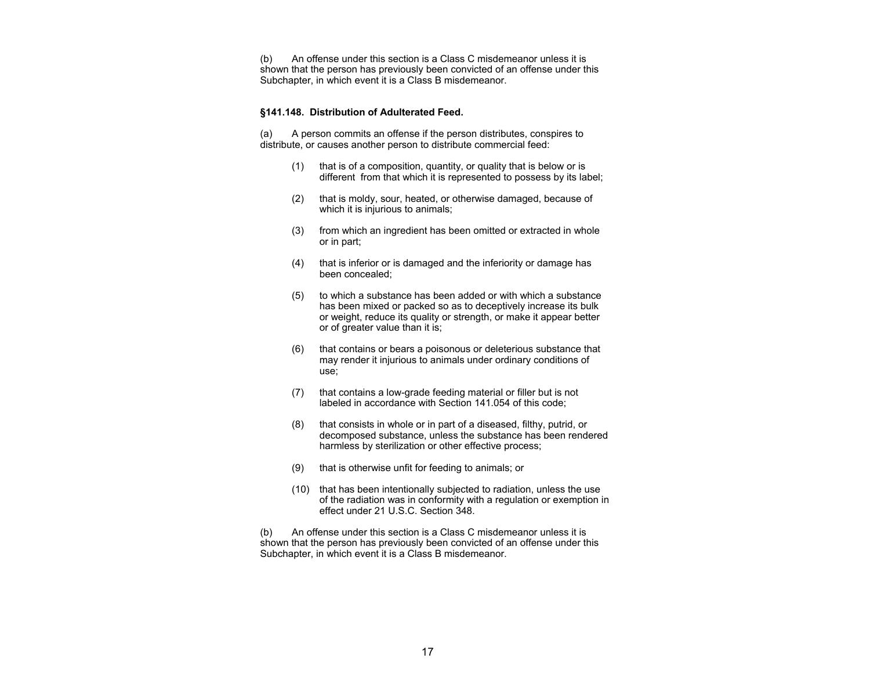(b) An offense under this section is a Class C misdemeanor unless it is shown that the person has previously been convicted of an offense under this Subchapter, in which event it is a Class B misdemeanor.

#### **§141.148. Distribution of Adulterated Feed.**

(a) A person commits an offense if the person distributes, conspires to distribute, or causes another person to distribute commercial feed:

- (1) that is of a composition, quantity, or quality that is below or is different from that which it is represented to possess by its label;
- (2) that is moldy, sour, heated, or otherwise damaged, because of which it is injurious to animals;
- (3) from which an ingredient has been omitted or extracted in whole or in part;
- (4) that is inferior or is damaged and the inferiority or damage has been concealed;
- (5) to which a substance has been added or with which a substance has been mixed or packed so as to deceptively increase its bulk or weight, reduce its quality or strength, or make it appear better or of greater value than it is;
- (6) that contains or bears a poisonous or deleterious substance that may render it injurious to animals under ordinary conditions of use;
- (7) that contains a low-grade feeding material or filler but is not labeled in accordance with Section 141.054 of this code;
- (8) that consists in whole or in part of a diseased, filthy, putrid, or decomposed substance, unless the substance has been rendered harmless by sterilization or other effective process;
- (9) that is otherwise unfit for feeding to animals; or
- (10) that has been intentionally subjected to radiation, unless the use of the radiation was in conformity with a regulation or exemption in effect under 21 U.S.C. Section 348.

(b) An offense under this section is a Class C misdemeanor unless it is shown that the person has previously been convicted of an offense under this Subchapter, in which event it is a Class B misdemeanor.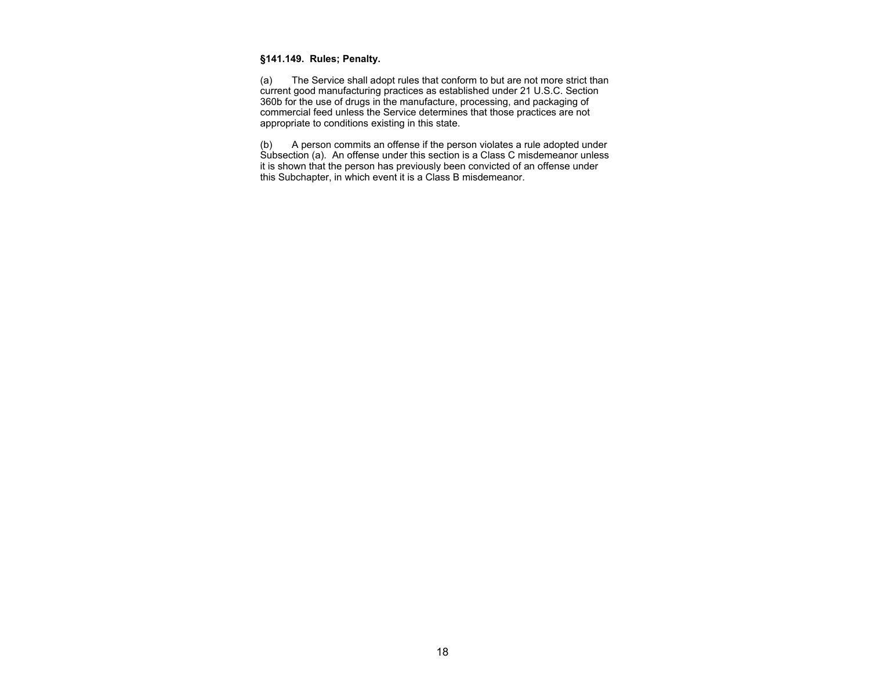## **§141.149. Rules; Penalty.**

(a) The Service shall adopt rules that conform to but are not more strict than current good manufacturing practices as established under 21 U.S.C. Section 360b for the use of drugs in the manufacture, processing, and packaging of commercial feed unless the Service determines that those practices are not appropriate to conditions existing in this state.

(b) A person commits an offense if the person violates a rule adopted under Subsection (a). An offense under this section is a Class C misdemeanor unless it is shown that the person has previously been convicted of an offense under this Subchapter, in which event it is a Class B misdemeanor.